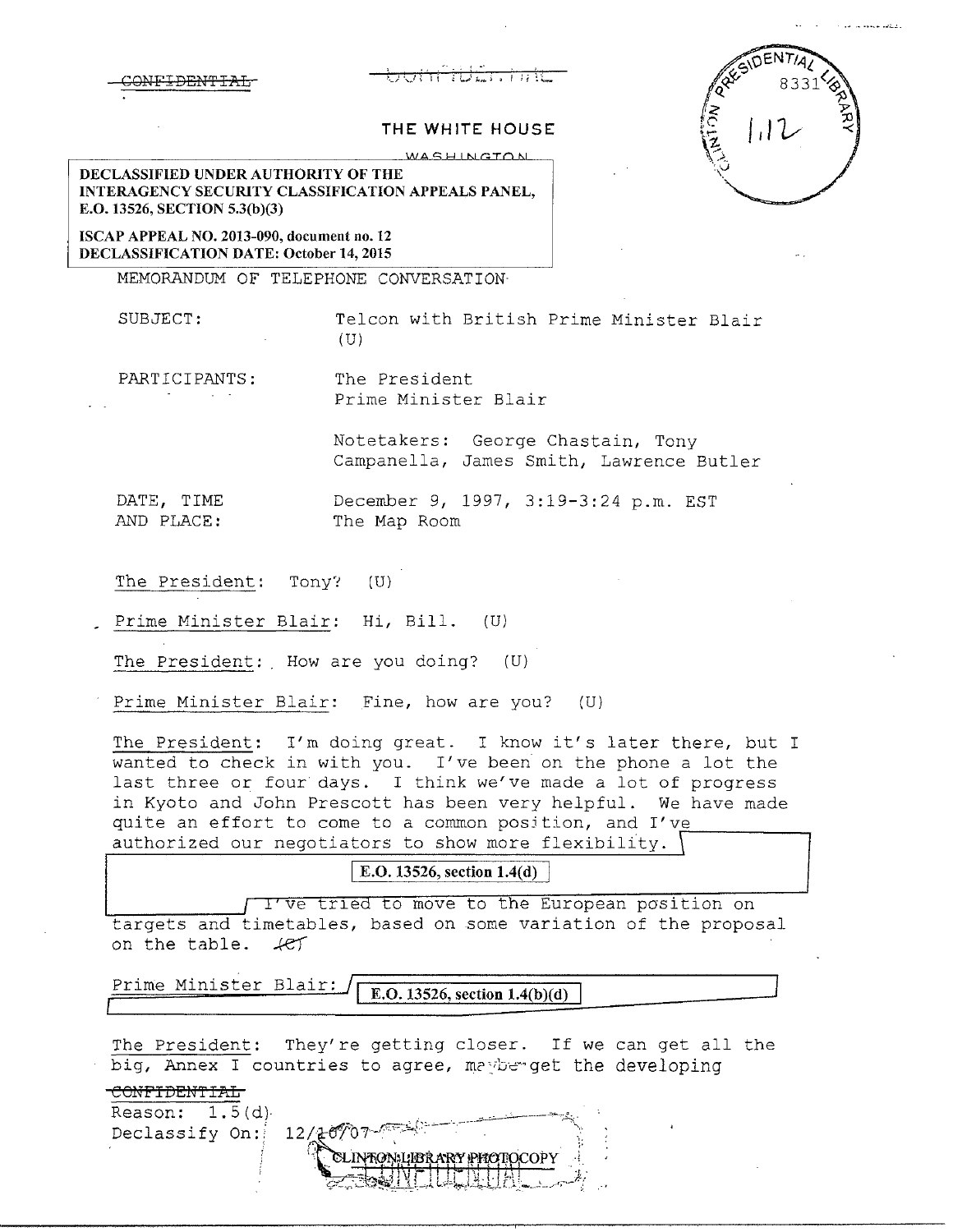## CONFTDEN'E'IAL -'.\_) ·..\_) ~ I **1** ~ /....\_) ;.,,,... **i • f** ) ! '.. **L\_**

 $112$ 

## **THE WHITE HOUSE**

 $W$ <sup>ASHINGTON</sup>

**DECLASSIFIED UNDER AUTHORITY OF THE INTERAGENCY SECURITY CLASSIFICATION APPEALS PANEL, E.0.13526, SECTION 5.3(b)(3)** 

**ISCAP APPEAL NO. 2013-090, document no. 12 DECLASSIFICATION DATE: October 14, 2015** 

MEMORANDUM OF TELEPHONE CONVERSATION

SUBJECT: Telcon with British Prime Minister Blair  $(U)$ 

PARTICIPANTS: The President Prime Minister Blair

> Notetakers: George Chastain, Tony Campanella, James Smith, Lawrence Butler

DATE, TIME December 9, 1997, 3:19-3:24 p.m. EST AND PLACE: The Map Room

The President: Tony? (U)

Prime Minister Blair: Hi, Bill. (U)

The President: How are you doing?  $(U)$ 

Prime Minister Blair: Fine, how are you? (U)

The President: I'm doing great. I know it's later there, but I wanted to check in with you. I've been on the phone a lot the last three or four days. I think we've made a lot of progress in Kyoto and John Prescott has been very helpful. We have made quite an effort to come to a common position, and I've authorized our negotiators to show more flexibility.

**E.O. 13526, section 1.4(d)** 

I'Ve tried to move to the European position on targets and timetables, based on some variation of the proposal on the table.  $4e<sup>+</sup>$ 

Prime Minister Blair: **E.O. 13526, section 1.4(b)(d)** 

The President: They're getting closer. If we can get all the big, Annex I countries to agree, maybe get the developing

**COMFI DE!fl'IAL** 

Declassify On:

Reason:  $1.5(d)$  $12/20$ **TON LIBRARY PHOTOCOPY**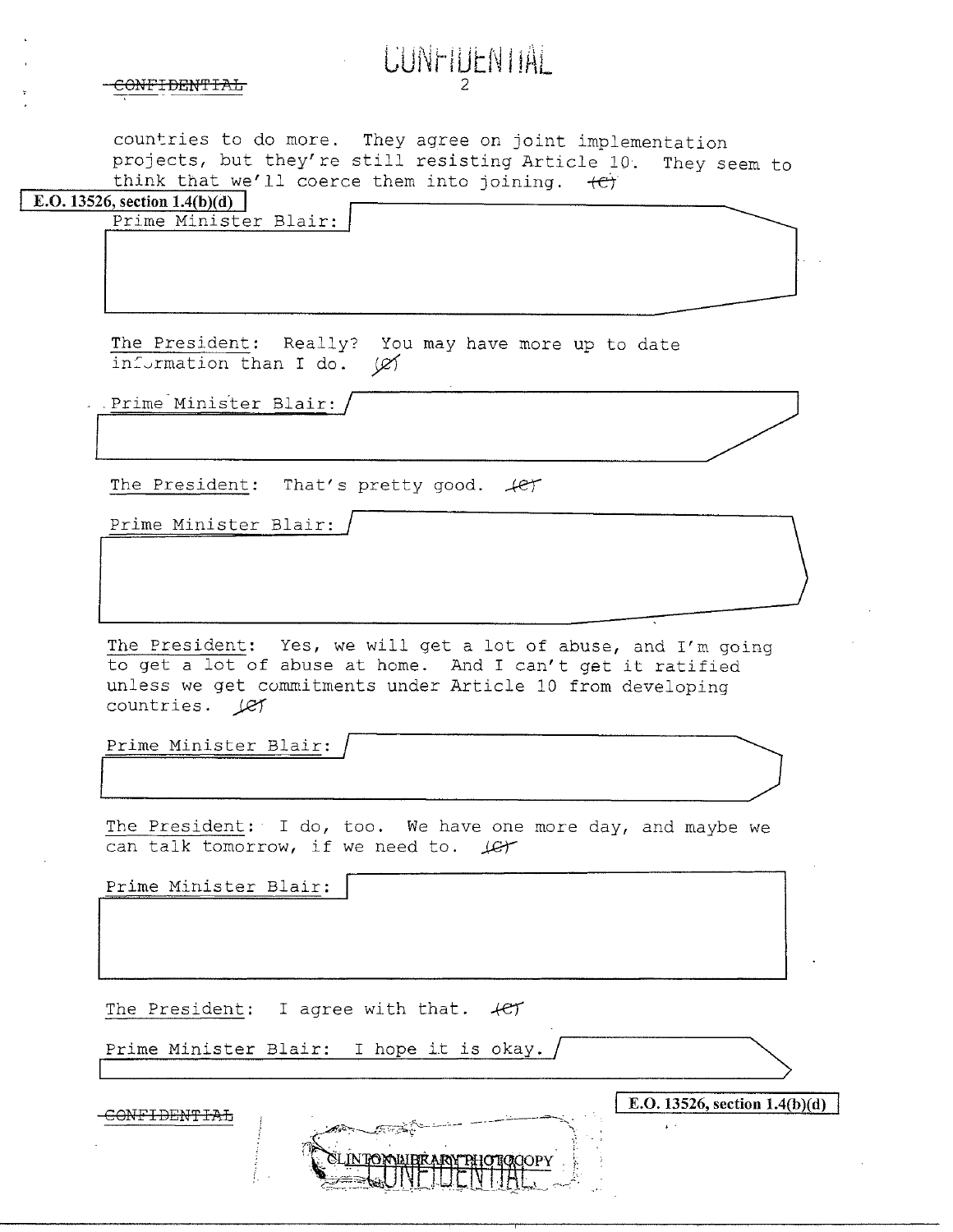| CONTTERNTTI<br><b>CONTIDENITAL</b> |  |
|------------------------------------|--|
|                                    |  |

countries to do more. They agree on joint implementation projects, but they're still resisting Article 10. They seem to think that we'll coerce them into joining.  $+e^+$ 

LUNTIUEN IIAL

| E.O. 13526, section $1.4(b)(d)$ |                       |  |
|---------------------------------|-----------------------|--|
|                                 | Prime Minister Blair. |  |

The President: Really? You may have more up to date<br>
information than I do.  $\cancel{\varnothing}$ <br>
Prime Minister Blair: / information than I do. (e) nt: Really? You may have more up to date<br>than I do. (2)<br>ter Blair: That's pretty good. (2)

.....\_\_

The President: That's pretty good.  $\mathcal{L}$ 

Prime Minister Blair:

The President: Yes, we will get a lot of abuse, and I'm going to get a lot of abuse at home. And I can't get it ratified unless we get commitments under Article 10 from developing countries. Let

Prime Minister Blair:

The President: I do, too. We have one more day, and maybe we can talk tomorrow, if we need to.  $\mathcal{L}$ 

Prime Minister Blair:

The President: I agree with that.  $4e f$ 

Prime Minister Blair: I hope it is okay.

 $\frac{\text{COMFIDENTFAA}}{1.26}$ 

 $\overline{\phantom{a}}$